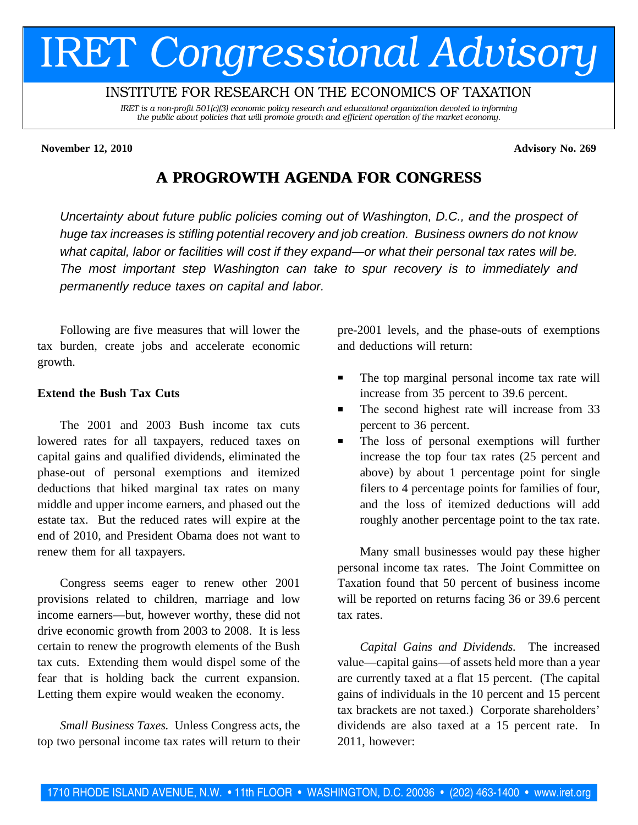# IRET *Congressional Advisory*

# INSTITUTE FOR RESEARCH ON THE ECONOMICS OF TAXATION

*IRET is a non-profit 501(c)(3) economic policy research and educational organization devoted to informing the public about policies that will promote growth and efficient operation of the market economy.*

#### **November 12, 2010 Advisory No. 269**

# **A PROGROWTH A PROGROWTH AGENDA FOR CONGRESS CONGRESS**

Uncertainty about future public policies coming out of Washington, D.C., and the prospect of huge tax increases is stifling potential recovery and job creation. Business owners do not know what capital, labor or facilities will cost if they expand—or what their personal tax rates will be. The most important step Washington can take to spur recovery is to immediately and permanently reduce taxes on capital and labor.

Following are five measures that will lower the tax burden, create jobs and accelerate economic growth.

#### **Extend the Bush Tax Cuts**

The 2001 and 2003 Bush income tax cuts lowered rates for all taxpayers, reduced taxes on capital gains and qualified dividends, eliminated the phase-out of personal exemptions and itemized deductions that hiked marginal tax rates on many middle and upper income earners, and phased out the estate tax. But the reduced rates will expire at the end of 2010, and President Obama does not want to renew them for all taxpayers.

Congress seems eager to renew other 2001 provisions related to children, marriage and low income earners—but, however worthy, these did not drive economic growth from 2003 to 2008. It is less certain to renew the progrowth elements of the Bush tax cuts. Extending them would dispel some of the fear that is holding back the current expansion. Letting them expire would weaken the economy.

*Small Business Taxes.* Unless Congress acts, the top two personal income tax rates will return to their pre-2001 levels, and the phase-outs of exemptions and deductions will return:

- The top marginal personal income tax rate will increase from 35 percent to 39.6 percent.
- The second highest rate will increase from 33  $\blacksquare$ percent to 36 percent.
- The loss of personal exemptions will further increase the top four tax rates (25 percent and above) by about 1 percentage point for single filers to 4 percentage points for families of four, and the loss of itemized deductions will add roughly another percentage point to the tax rate.

Many small businesses would pay these higher personal income tax rates. The Joint Committee on Taxation found that 50 percent of business income will be reported on returns facing 36 or 39.6 percent tax rates.

*Capital Gains and Dividends.* The increased value—capital gains—of assets held more than a year are currently taxed at a flat 15 percent. (The capital gains of individuals in the 10 percent and 15 percent tax brackets are not taxed.) Corporate shareholders' dividends are also taxed at a 15 percent rate. In 2011, however: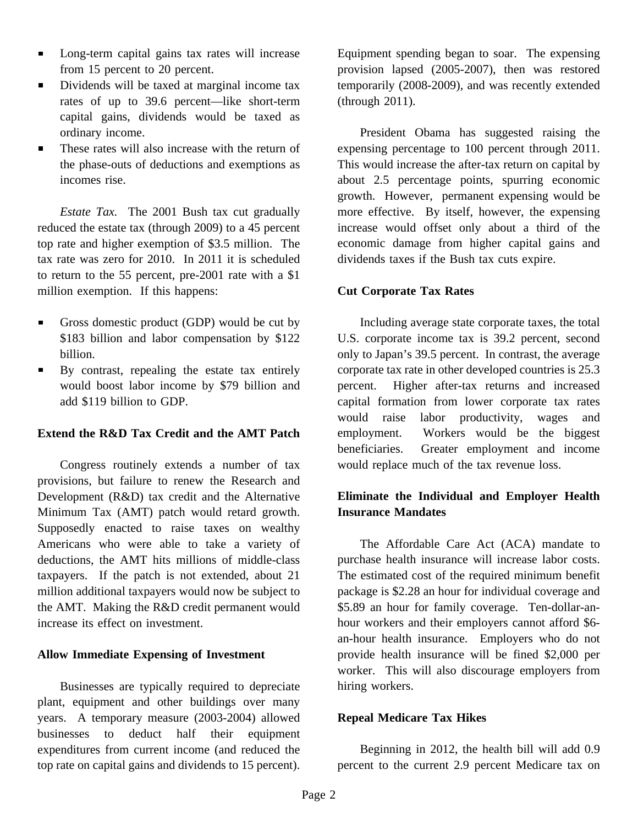- Long-term capital gains tax rates will increase  $\blacksquare$ from 15 percent to 20 percent.
- Dividends will be taxed at marginal income tax  $\blacksquare$ rates of up to 39.6 percent—like short-term capital gains, dividends would be taxed as ordinary income.
- These rates will also increase with the return of  $\blacksquare$ the phase-outs of deductions and exemptions as incomes rise.

*Estate Tax.* The 2001 Bush tax cut gradually reduced the estate tax (through 2009) to a 45 percent top rate and higher exemption of \$3.5 million. The tax rate was zero for 2010. In 2011 it is scheduled to return to the 55 percent, pre-2001 rate with a \$1 million exemption. If this happens:

- Gross domestic product (GDP) would be cut by  $\blacksquare$ \$183 billion and labor compensation by \$122 billion.
- $\blacksquare$ By contrast, repealing the estate tax entirely would boost labor income by \$79 billion and add \$119 billion to GDP.

### **Extend the R&D Tax Credit and the AMT Patch**

Congress routinely extends a number of tax provisions, but failure to renew the Research and Development (R&D) tax credit and the Alternative Minimum Tax (AMT) patch would retard growth. Supposedly enacted to raise taxes on wealthy Americans who were able to take a variety of deductions, the AMT hits millions of middle-class taxpayers. If the patch is not extended, about 21 million additional taxpayers would now be subject to the AMT. Making the R&D credit permanent would increase its effect on investment.

### **Allow Immediate Expensing of Investment**

Businesses are typically required to depreciate plant, equipment and other buildings over many years. A temporary measure (2003-2004) allowed businesses to deduct half their equipment expenditures from current income (and reduced the top rate on capital gains and dividends to 15 percent).

Equipment spending began to soar. The expensing provision lapsed (2005-2007), then was restored temporarily (2008-2009), and was recently extended (through 2011).

President Obama has suggested raising the expensing percentage to 100 percent through 2011. This would increase the after-tax return on capital by about 2.5 percentage points, spurring economic growth. However, permanent expensing would be more effective. By itself, however, the expensing increase would offset only about a third of the economic damage from higher capital gains and dividends taxes if the Bush tax cuts expire.

#### **Cut Corporate Tax Rates**

Including average state corporate taxes, the total U.S. corporate income tax is 39.2 percent, second only to Japan's 39.5 percent. In contrast, the average corporate tax rate in other developed countries is 25.3 percent. Higher after-tax returns and increased capital formation from lower corporate tax rates would raise labor productivity, wages and employment. Workers would be the biggest beneficiaries. Greater employment and income would replace much of the tax revenue loss.

# **Eliminate the Individual and Employer Health Insurance Mandates**

The Affordable Care Act (ACA) mandate to purchase health insurance will increase labor costs. The estimated cost of the required minimum benefit package is \$2.28 an hour for individual coverage and \$5.89 an hour for family coverage. Ten-dollar-anhour workers and their employers cannot afford \$6 an-hour health insurance. Employers who do not provide health insurance will be fined \$2,000 per worker. This will also discourage employers from hiring workers.

#### **Repeal Medicare Tax Hikes**

Beginning in 2012, the health bill will add 0.9 percent to the current 2.9 percent Medicare tax on